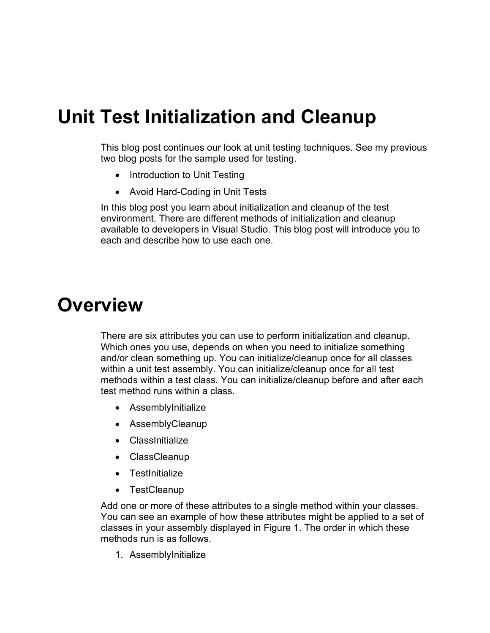#### **Unit Test Initialization and Cleanup**

This blog post continues our look at unit testing techniques. See my previous two blog posts for the sample used for testing.

- Introduction to Unit Testing
- Avoid Hard-Coding in Unit Tests

In this blog post you learn about initialization and cleanup of the test environment. There are different methods of initialization and cleanup available to developers in Visual Studio. This blog post will introduce you to each and describe how to use each one.

#### **Overview**

There are six attributes you can use to perform initialization and cleanup. Which ones you use, depends on when you need to initialize something and/or clean something up. You can initialize/cleanup once for all classes within a unit test assembly. You can initialize/cleanup once for all test methods within a test class. You can initialize/cleanup before and after each test method runs within a class.

- AssemblyInitialize
- AssemblyCleanup
- ClassInitialize
- ClassCleanup
- TestInitialize
- TestCleanup

Add one or more of these attributes to a single method within your classes. You can see an example of how these attributes might be applied to a set of classes in your assembly displayed in [Figure 1.](#page-1-0) The order in which these methods run is as follows.

1. AssemblyInitialize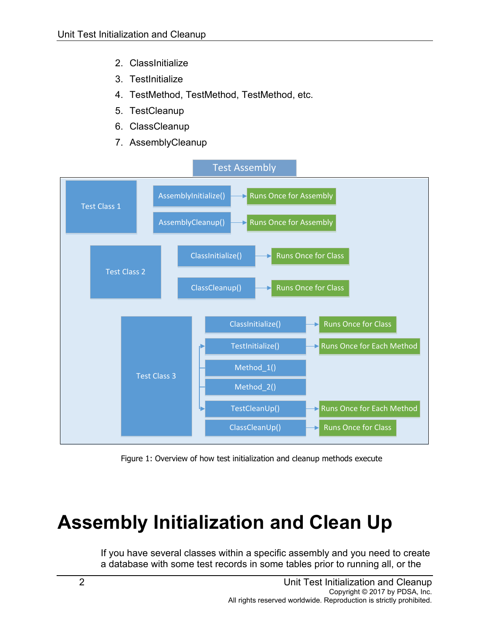- 2. ClassInitialize
- 3. TestInitialize
- 4. TestMethod, TestMethod, TestMethod, etc.
- 5. TestCleanup
- 6. ClassCleanup
- 7. AssemblyCleanup



Figure 1: Overview of how test initialization and cleanup methods execute

## <span id="page-1-0"></span>**Assembly Initialization and Clean Up**

If you have several classes within a specific assembly and you need to create a database with some test records in some tables prior to running all, or the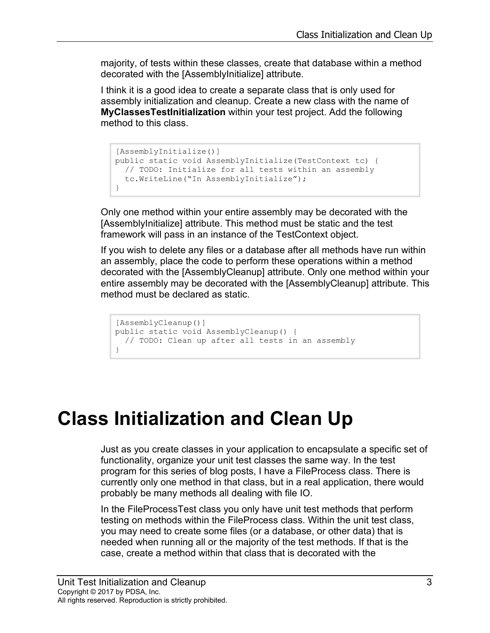majority, of tests within these classes, create that database within a method decorated with the [AssemblyInitialize] attribute.

I think it is a good idea to create a separate class that is only used for assembly initialization and cleanup. Create a new class with the name of **MyClassesTestInitialization** within your test project. Add the following method to this class.

```
[AssemblyInitialize()]
public static void AssemblyInitialize(TestContext tc) {
  // TODO: Initialize for all tests within an assembly
  tc.WriteLine("In AssemblyInitialize");
}
```
Only one method within your entire assembly may be decorated with the [AssemblyInitialize] attribute. This method must be static and the test framework will pass in an instance of the TestContext object.

If you wish to delete any files or a database after all methods have run within an assembly, place the code to perform these operations within a method decorated with the [AssemblyCleanup] attribute. Only one method within your entire assembly may be decorated with the [AssemblyCleanup] attribute. This method must be declared as static.

```
[AssemblyCleanup()]
public static void AssemblyCleanup() {
  // TODO: Clean up after all tests in an assembly
}
```
## **Class Initialization and Clean Up**

Just as you create classes in your application to encapsulate a specific set of functionality, organize your unit test classes the same way. In the test program for this series of blog posts, I have a FileProcess class. There is currently only one method in that class, but in a real application, there would probably be many methods all dealing with file IO.

In the FileProcessTest class you only have unit test methods that perform testing on methods within the FileProcess class. Within the unit test class, you may need to create some files (or a database, or other data) that is needed when running all or the majority of the test methods. If that is the case, create a method within that class that is decorated with the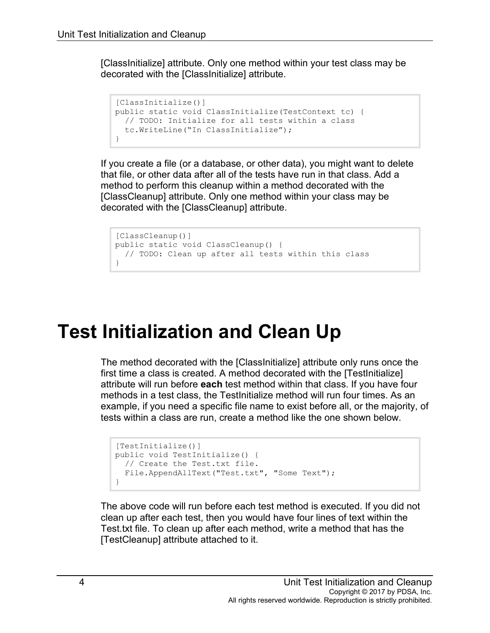[ClassInitialize] attribute. Only one method within your test class may be decorated with the [ClassInitialize] attribute.

```
[ClassInitialize()]
public static void ClassInitialize(TestContext tc) {
  // TODO: Initialize for all tests within a class
  tc.WriteLine("In ClassInitialize");
}
```
If you create a file (or a database, or other data), you might want to delete that file, or other data after all of the tests have run in that class. Add a method to perform this cleanup within a method decorated with the [ClassCleanup] attribute. Only one method within your class may be decorated with the [ClassCleanup] attribute.

```
[ClassCleanup()]
public static void ClassCleanup() {
  // TODO: Clean up after all tests within this class
}
```
#### **Test Initialization and Clean Up**

The method decorated with the [ClassInitialize] attribute only runs once the first time a class is created. A method decorated with the [TestInitialize] attribute will run before **each** test method within that class. If you have four methods in a test class, the TestInitialize method will run four times. As an example, if you need a specific file name to exist before all, or the majority, of tests within a class are run, create a method like the one shown below.

```
[TestInitialize()]
public void TestInitialize() {
  // Create the Test.txt file.
  File.AppendAllText("Test.txt", "Some Text");
}
```
The above code will run before each test method is executed. If you did not clean up after each test, then you would have four lines of text within the Test.txt file. To clean up after each method, write a method that has the [TestCleanup] attribute attached to it.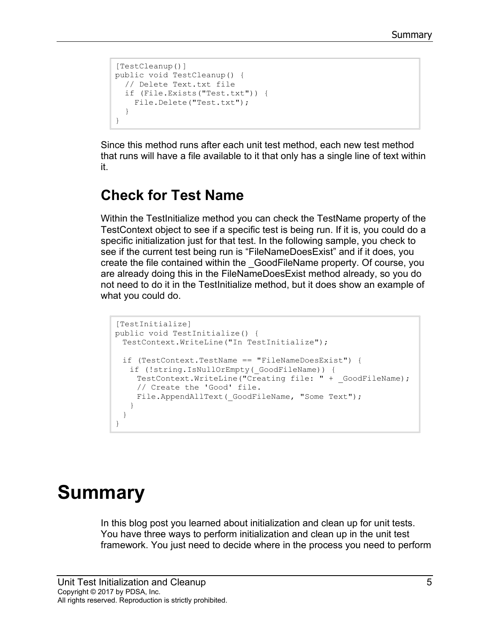```
[TestCleanup()]
public void TestCleanup() {
  // Delete Text.txt file
  if (File.Exists("Test.txt")) {
    File.Delete("Test.txt");
  }
}
```
Since this method runs after each unit test method, each new test method that runs will have a file available to it that only has a single line of text within it.

#### **Check for Test Name**

Within the TestInitialize method you can check the TestName property of the TestContext object to see if a specific test is being run. If it is, you could do a specific initialization just for that test. In the following sample, you check to see if the current test being run is "FileNameDoesExist" and if it does, you create the file contained within the \_GoodFileName property. Of course, you are already doing this in the FileNameDoesExist method already, so you do not need to do it in the TestInitialize method, but it does show an example of what you could do.

```
[TestInitialize]
public void TestInitialize() {
 TestContext.WriteLine("In TestInitialize");
 if (TestContext.TestName == "FileNameDoesExist") {
   if (!string.IsNullOrEmpty( GoodFileName)) {
    TestContext.WriteLine("Creating file: " + GoodFileName);
    // Create the 'Good' file.
    File.AppendAllText( GoodFileName, "Some Text");
   }
 }
}
```
# **Summary**

In this blog post you learned about initialization and clean up for unit tests. You have three ways to perform initialization and clean up in the unit test framework. You just need to decide where in the process you need to perform